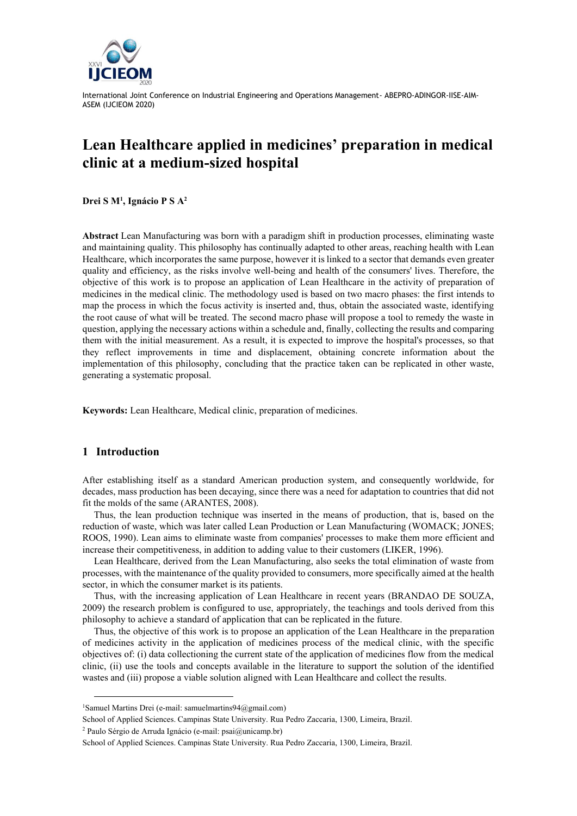

# **Lean Healthcare applied in medicines' preparation in medical clinic at a medium-sized hospital**

**Drei S M<sup>1</sup> , Ignácio P S A<sup>2</sup>**

**Abstract** Lean Manufacturing was born with a paradigm shift in production processes, eliminating waste and maintaining quality. This philosophy has continually adapted to other areas, reaching health with Lean Healthcare, which incorporates the same purpose, however it is linked to a sector that demands even greater quality and efficiency, as the risks involve well-being and health of the consumers' lives. Therefore, the objective of this work is to propose an application of Lean Healthcare in the activity of preparation of medicines in the medical clinic. The methodology used is based on two macro phases: the first intends to map the process in which the focus activity is inserted and, thus, obtain the associated waste, identifying the root cause of what will be treated. The second macro phase will propose a tool to remedy the waste in question, applying the necessary actions within a schedule and, finally, collecting the results and comparing them with the initial measurement. As a result, it is expected to improve the hospital's processes, so that they reflect improvements in time and displacement, obtaining concrete information about the implementation of this philosophy, concluding that the practice taken can be replicated in other waste, generating a systematic proposal.

**Keywords:** Lean Healthcare, Medical clinic, preparation of medicines.

## **1 Introduction**

After establishing itself as a standard American production system, and consequently worldwide, for decades, mass production has been decaying, since there was a need for adaptation to countries that did not fit the molds of the same (ARANTES, 2008).

Thus, the lean production technique was inserted in the means of production, that is, based on the reduction of waste, which was later called Lean Production or Lean Manufacturing (WOMACK; JONES; ROOS, 1990). Lean aims to eliminate waste from companies' processes to make them more efficient and increase their competitiveness, in addition to adding value to their customers (LIKER, 1996).

Lean Healthcare, derived from the Lean Manufacturing, also seeks the total elimination of waste from processes, with the maintenance of the quality provided to consumers, more specifically aimed at the health sector, in which the consumer market is its patients.

Thus, with the increasing application of Lean Healthcare in recent years (BRANDAO DE SOUZA, 2009) the research problem is configured to use, appropriately, the teachings and tools derived from this philosophy to achieve a standard of application that can be replicated in the future.

Thus, the objective of this work is to propose an application of the Lean Healthcare in the preparation of medicines activity in the application of medicines process of the medical clinic, with the specific objectives of: (i) data collectioning the current state of the application of medicines flow from the medical clinic, (ii) use the tools and concepts available in the literature to support the solution of the identified wastes and (iii) propose a viable solution aligned with Lean Healthcare and collect the results.

<sup>&</sup>lt;sup>1</sup>Samuel Martins Drei (e-mail: samuelmartins $94@g$ gmail.com)

School of Applied Sciences. Campinas State University. Rua Pedro Zaccaria, 1300, Limeira, Brazil.

<sup>2</sup> Paulo Sérgio de Arruda Ignácio (e-mail: psai@unicamp.br)

School of Applied Sciences. Campinas State University. Rua Pedro Zaccaria, 1300, Limeira, Brazil.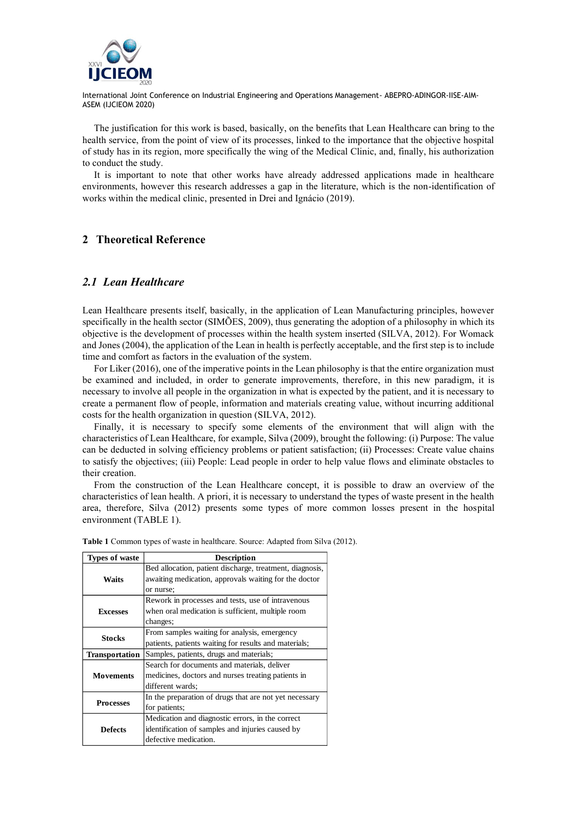

The justification for this work is based, basically, on the benefits that Lean Healthcare can bring to the health service, from the point of view of its processes, linked to the importance that the objective hospital of study has in its region, more specifically the wing of the Medical Clinic, and, finally, his authorization to conduct the study.

It is important to note that other works have already addressed applications made in healthcare environments, however this research addresses a gap in the literature, which is the non-identification of works within the medical clinic, presented in Drei and Ignácio (2019).

## **2 Theoretical Reference**

## *2.1 Lean Healthcare*

Lean Healthcare presents itself, basically, in the application of Lean Manufacturing principles, however specifically in the health sector (SIMÕES, 2009), thus generating the adoption of a philosophy in which its objective is the development of processes within the health system inserted (SILVA, 2012). For Womack and Jones (2004), the application of the Lean in health is perfectly acceptable, and the first step is to include time and comfort as factors in the evaluation of the system.

For Liker (2016), one of the imperative points in the Lean philosophy is that the entire organization must be examined and included, in order to generate improvements, therefore, in this new paradigm, it is necessary to involve all people in the organization in what is expected by the patient, and it is necessary to create a permanent flow of people, information and materials creating value, without incurring additional costs for the health organization in question (SILVA, 2012).

Finally, it is necessary to specify some elements of the environment that will align with the characteristics of Lean Healthcare, for example, Silva (2009), brought the following: (i) Purpose: The value can be deducted in solving efficiency problems or patient satisfaction; (ii) Processes: Create value chains to satisfy the objectives; (iii) People: Lead people in order to help value flows and eliminate obstacles to their creation.

From the construction of the Lean Healthcare concept, it is possible to draw an overview of the characteristics of lean health. A priori, it is necessary to understand the types of waste present in the health area, therefore, Silva (2012) presents some types of more common losses present in the hospital environment (TABLE 1).

| <b>Types of waste</b> | <b>Description</b>                                       |
|-----------------------|----------------------------------------------------------|
|                       | Bed allocation, patient discharge, treatment, diagnosis, |
| Waits                 | awaiting medication, approvals waiting for the doctor    |
|                       | or nurse;                                                |
|                       | Rework in processes and tests, use of intravenous        |
| <b>Excesses</b>       | when oral medication is sufficient, multiple room        |
|                       | changes;                                                 |
| <b>Stocks</b>         | From samples waiting for analysis, emergency             |
|                       | patients, patients waiting for results and materials;    |
| Transportation        | Samples, patients, drugs and materials;                  |
|                       | Search for documents and materials, deliver              |
| <b>Movements</b>      | medicines, doctors and nurses treating patients in       |
|                       | different wards;                                         |
|                       | In the preparation of drugs that are not yet necessary   |
| <b>Processes</b>      | for patients;                                            |
|                       | Medication and diagnostic errors, in the correct         |
| <b>Defects</b>        | identification of samples and injuries caused by         |
|                       | defective medication.                                    |

**Table 1** Common types of waste in healthcare. Source: Adapted from Silva (2012).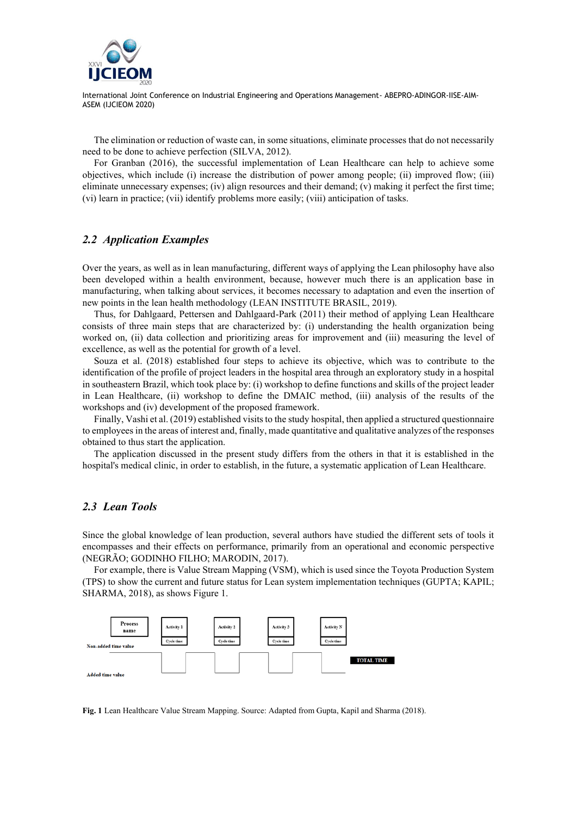

The elimination or reduction of waste can, in some situations, eliminate processes that do not necessarily need to be done to achieve perfection (SILVA, 2012).

For Granban (2016), the successful implementation of Lean Healthcare can help to achieve some objectives, which include (i) increase the distribution of power among people; (ii) improved flow; (iii) eliminate unnecessary expenses; (iv) align resources and their demand; (v) making it perfect the first time; (vi) learn in practice; (vii) identify problems more easily; (viii) anticipation of tasks.

## *2.2 Application Examples*

Over the years, as well as in lean manufacturing, different ways of applying the Lean philosophy have also been developed within a health environment, because, however much there is an application base in manufacturing, when talking about services, it becomes necessary to adaptation and even the insertion of new points in the lean health methodology (LEAN INSTITUTE BRASIL, 2019).

Thus, for Dahlgaard, Pettersen and Dahlgaard-Park (2011) their method of applying Lean Healthcare consists of three main steps that are characterized by: (i) understanding the health organization being worked on, (ii) data collection and prioritizing areas for improvement and (iii) measuring the level of excellence, as well as the potential for growth of a level.

Souza et al. (2018) established four steps to achieve its objective, which was to contribute to the identification of the profile of project leaders in the hospital area through an exploratory study in a hospital in southeastern Brazil, which took place by: (i) workshop to define functions and skills of the project leader in Lean Healthcare, (ii) workshop to define the DMAIC method, (iii) analysis of the results of the workshops and (iv) development of the proposed framework.

Finally, Vashi et al. (2019) established visits to the study hospital, then applied a structured questionnaire to employees in the areas of interest and, finally, made quantitative and qualitative analyzes of the responses obtained to thus start the application.

The application discussed in the present study differs from the others in that it is established in the hospital's medical clinic, in order to establish, in the future, a systematic application of Lean Healthcare.

## *2.3 Lean Tools*

Since the global knowledge of lean production, several authors have studied the different sets of tools it encompasses and their effects on performance, primarily from an operational and economic perspective (NEGRÃO; GODINHO FILHO; MARODIN, 2017).

For example, there is Value Stream Mapping (VSM), which is used since the Toyota Production System (TPS) to show the current and future status for Lean system implementation techniques (GUPTA; KAPIL; SHARMA, 2018), as shows Figure 1.



**Fig. 1** Lean Healthcare Value Stream Mapping. Source: Adapted from Gupta, Kapil and Sharma (2018).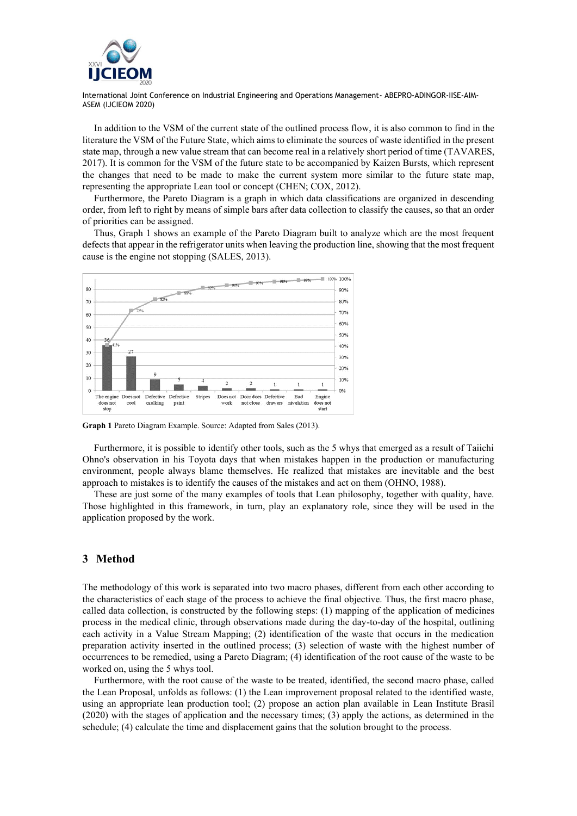

In addition to the VSM of the current state of the outlined process flow, it is also common to find in the literature the VSM of the Future State, which aims to eliminate the sources of waste identified in the present state map, through a new value stream that can become real in a relatively short period of time (TAVARES, 2017). It is common for the VSM of the future state to be accompanied by Kaizen Bursts, which represent the changes that need to be made to make the current system more similar to the future state map, representing the appropriate Lean tool or concept (CHEN; COX, 2012).

Furthermore, the Pareto Diagram is a graph in which data classifications are organized in descending order, from left to right by means of simple bars after data collection to classify the causes, so that an order of priorities can be assigned.

Thus, Graph 1 shows an example of the Pareto Diagram built to analyze which are the most frequent defects that appear in the refrigerator units when leaving the production line, showing that the most frequent cause is the engine not stopping (SALES, 2013).



**Graph 1** Pareto Diagram Example. Source: Adapted from Sales (2013).

Furthermore, it is possible to identify other tools, such as the 5 whys that emerged as a result of Taiichi Ohno's observation in his Toyota days that when mistakes happen in the production or manufacturing environment, people always blame themselves. He realized that mistakes are inevitable and the best approach to mistakes is to identify the causes of the mistakes and act on them (OHNO, 1988).

These are just some of the many examples of tools that Lean philosophy, together with quality, have. Those highlighted in this framework, in turn, play an explanatory role, since they will be used in the application proposed by the work.

#### **3 Method**

The methodology of this work is separated into two macro phases, different from each other according to the characteristics of each stage of the process to achieve the final objective. Thus, the first macro phase, called data collection, is constructed by the following steps: (1) mapping of the application of medicines process in the medical clinic, through observations made during the day-to-day of the hospital, outlining each activity in a Value Stream Mapping; (2) identification of the waste that occurs in the medication preparation activity inserted in the outlined process; (3) selection of waste with the highest number of occurrences to be remedied, using a Pareto Diagram; (4) identification of the root cause of the waste to be worked on, using the 5 whys tool.

Furthermore, with the root cause of the waste to be treated, identified, the second macro phase, called the Lean Proposal, unfolds as follows: (1) the Lean improvement proposal related to the identified waste, using an appropriate lean production tool; (2) propose an action plan available in Lean Institute Brasil (2020) with the stages of application and the necessary times; (3) apply the actions, as determined in the schedule; (4) calculate the time and displacement gains that the solution brought to the process.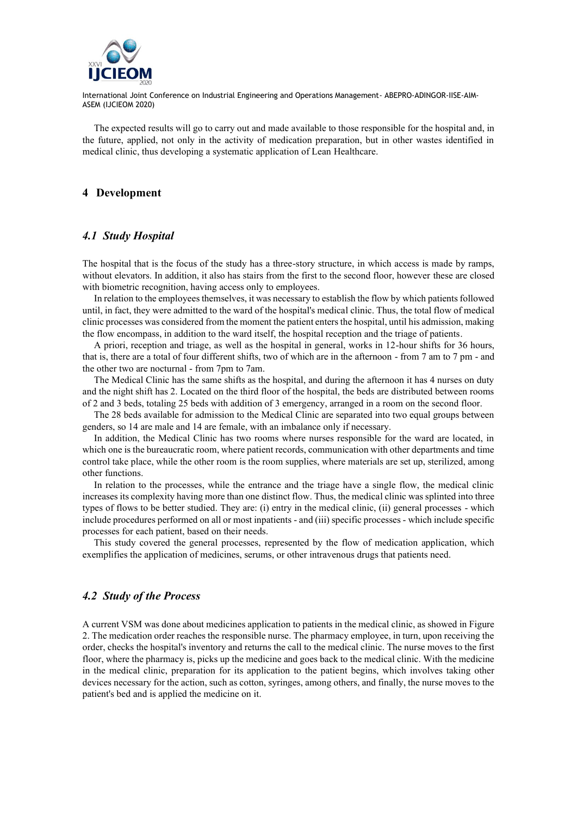

The expected results will go to carry out and made available to those responsible for the hospital and, in the future, applied, not only in the activity of medication preparation, but in other wastes identified in medical clinic, thus developing a systematic application of Lean Healthcare.

#### **4 Development**

## *4.1 Study Hospital*

The hospital that is the focus of the study has a three-story structure, in which access is made by ramps, without elevators. In addition, it also has stairs from the first to the second floor, however these are closed with biometric recognition, having access only to employees.

In relation to the employees themselves, it was necessary to establish the flow by which patients followed until, in fact, they were admitted to the ward of the hospital's medical clinic. Thus, the total flow of medical clinic processes was considered from the moment the patient enters the hospital, until his admission, making the flow encompass, in addition to the ward itself, the hospital reception and the triage of patients.

A priori, reception and triage, as well as the hospital in general, works in 12-hour shifts for 36 hours, that is, there are a total of four different shifts, two of which are in the afternoon - from 7 am to 7 pm - and the other two are nocturnal - from 7pm to 7am.

The Medical Clinic has the same shifts as the hospital, and during the afternoon it has 4 nurses on duty and the night shift has 2. Located on the third floor of the hospital, the beds are distributed between rooms of 2 and 3 beds, totaling 25 beds with addition of 3 emergency, arranged in a room on the second floor.

The 28 beds available for admission to the Medical Clinic are separated into two equal groups between genders, so 14 are male and 14 are female, with an imbalance only if necessary.

In addition, the Medical Clinic has two rooms where nurses responsible for the ward are located, in which one is the bureaucratic room, where patient records, communication with other departments and time control take place, while the other room is the room supplies, where materials are set up, sterilized, among other functions.

In relation to the processes, while the entrance and the triage have a single flow, the medical clinic increases its complexity having more than one distinct flow. Thus, the medical clinic was splinted into three types of flows to be better studied. They are: (i) entry in the medical clinic, (ii) general processes - which include procedures performed on all or most inpatients - and (iii) specific processes - which include specific processes for each patient, based on their needs.

This study covered the general processes, represented by the flow of medication application, which exemplifies the application of medicines, serums, or other intravenous drugs that patients need.

## *4.2 Study of the Process*

A current VSM was done about medicines application to patients in the medical clinic, as showed in Figure 2. The medication order reaches the responsible nurse. The pharmacy employee, in turn, upon receiving the order, checks the hospital's inventory and returns the call to the medical clinic. The nurse moves to the first floor, where the pharmacy is, picks up the medicine and goes back to the medical clinic. With the medicine in the medical clinic, preparation for its application to the patient begins, which involves taking other devices necessary for the action, such as cotton, syringes, among others, and finally, the nurse moves to the patient's bed and is applied the medicine on it.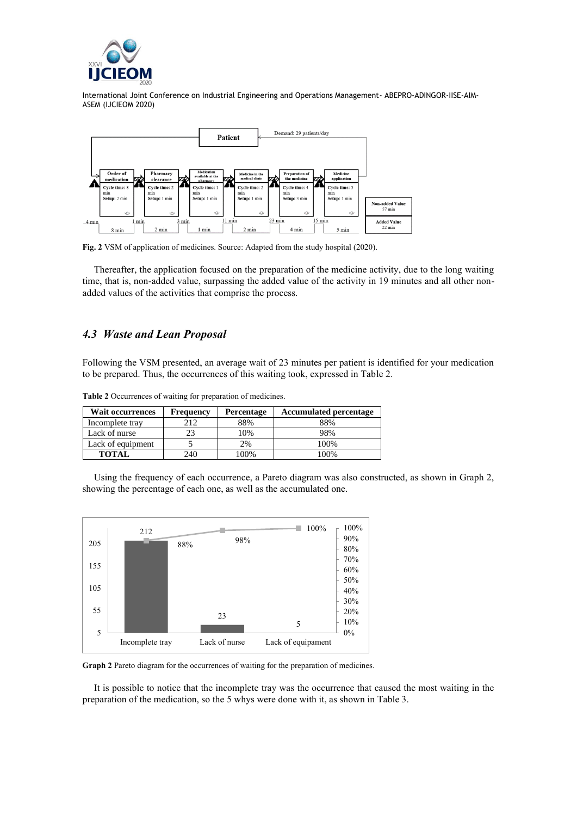



**Fig. 2** VSM of application of medicines. Source: Adapted from the study hospital (2020).

Thereafter, the application focused on the preparation of the medicine activity, due to the long waiting time, that is, non-added value, surpassing the added value of the activity in 19 minutes and all other nonadded values of the activities that comprise the process.

# *4.3 Waste and Lean Proposal*

Following the VSM presented, an average wait of 23 minutes per patient is identified for your medication to be prepared. Thus, the occurrences of this waiting took, expressed in Table 2.

| <b>Wait occurrences</b> | <b>Frequency</b> | Percentage | <b>Accumulated percentage</b> |  |  |  |  |
|-------------------------|------------------|------------|-------------------------------|--|--|--|--|
| Incomplete tray         | 212              | 88%        | 88%                           |  |  |  |  |
| Lack of nurse           |                  | 10%        | 98%                           |  |  |  |  |
| Lack of equipment       |                  | 2%         | 100%                          |  |  |  |  |
| <b>TOTAL</b>            | 240              | 100%       | 100%                          |  |  |  |  |

**Table 2** Occurrences of waiting for preparation of medicines.

Using the frequency of each occurrence, a Pareto diagram was also constructed, as shown in Graph 2, showing the percentage of each one, as well as the accumulated one.



**Graph 2** Pareto diagram for the occurrences of waiting for the preparation of medicines.

It is possible to notice that the incomplete tray was the occurrence that caused the most waiting in the preparation of the medication, so the 5 whys were done with it, as shown in Table 3.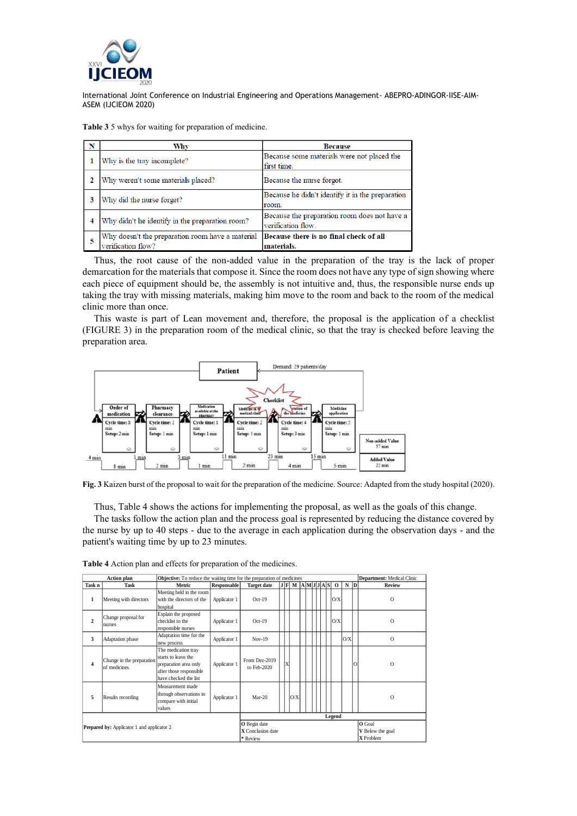

**Table 3** 5 whys for waiting for preparation of medicine.

| N | Why                                                                    | <b>Because</b>                                                     |  |  |  |  |  |
|---|------------------------------------------------------------------------|--------------------------------------------------------------------|--|--|--|--|--|
|   | Why is the tray incomplete?                                            | Because some materials were not placed the<br>first time.          |  |  |  |  |  |
|   | Why weren't some materials placed?                                     | Because the nurse forgot.                                          |  |  |  |  |  |
| 3 | Why did the nurse forget?                                              | Because he didn't identify it in the preparation<br>room.          |  |  |  |  |  |
| 4 | Why didn't he identify in the preparation room?                        | Because the preparation room does not have a<br>verification flow. |  |  |  |  |  |
| 5 | Why doesn't the preparation room have a material<br>verification flow? | Because there is no final check of all<br>materials.               |  |  |  |  |  |

Thus, the root cause of the non-added value in the preparation of the tray is the lack of proper demarcation for the materials that compose it. Since the room does not have any type of sign showing where each piece of equipment should be, the assembly is not intuitive and, thus, the responsible nurse ends up taking the tray with missing materials, making him move to the room and back to the room of the medical clinic more than once.

This waste is part of Lean movement and, therefore, the proposal is the application of a checklist (FIGURE 3) in the preparation room of the medical clinic, so that the tray is checked before leaving the preparation area.



**Fig. 3** Kaizen burst of the proposal to wait for the preparation of the medicine. Source: Adapted from the study hospital (2020).

Thus, Table 4 shows the actions for implementing the proposal, as well as the goals of this change.

The tasks follow the action plan and the process goal is represented by reducing the distance covered by the nurse by up to 40 steps - due to the average in each application during the observation days - and the patient's waiting time by up to 23 minutes.

|                                                   | Action plan                               | Objective: To reduce the waiting time for the preparation of medicines                                                  |              |                                                                                                           |  |   |                                     |  |  |  | Department: Medical Clinic |  |              |     |          |               |
|---------------------------------------------------|-------------------------------------------|-------------------------------------------------------------------------------------------------------------------------|--------------|-----------------------------------------------------------------------------------------------------------|--|---|-------------------------------------|--|--|--|----------------------------|--|--------------|-----|----------|---------------|
| Task n                                            | Task                                      | Metric                                                                                                                  | Responsable  | <b>Target date</b>                                                                                        |  |   | $J$ $F$ $M$ $A$ $M$ $J$ $J$ $A$ $S$ |  |  |  |                            |  | $\mathbf{o}$ |     | $N$ D    | <b>Review</b> |
| 1                                                 | Meeting with directors                    | Meeting held in the room<br>with the directors of the<br>hospital                                                       | Applicator 1 | $Oct-19$                                                                                                  |  |   |                                     |  |  |  |                            |  | O/X          |     |          | $\mathbf{O}$  |
| $\overline{c}$                                    | Change proposal for<br>nurses             | Explain the proposed<br>checklist to the<br>responsible nurses                                                          | Applicator 1 | $Oct-19$                                                                                                  |  |   |                                     |  |  |  |                            |  | O/X          |     |          | $\Omega$      |
| 3                                                 | Adaptation phase                          | Adaptation time for the<br>new process                                                                                  | Applicator 1 | $Nov-19$                                                                                                  |  |   |                                     |  |  |  |                            |  |              | O/X |          | $\Omega$      |
| 4                                                 | Change in the preparation<br>of medicines | The medication tray<br>starts to leave the<br>preparation area only<br>after those responsible<br>have checked the list | Applicator 1 | From Dez-2019<br>to Feb-2020                                                                              |  | X |                                     |  |  |  |                            |  |              |     | $\Omega$ | $\Omega$      |
| 5                                                 | Results recording                         | Measurement made<br>through observations to<br>compare with initial<br>values                                           | Applicator 1 | $Mar-20$                                                                                                  |  |   | O/X                                 |  |  |  |                            |  |              |     |          | $\Omega$      |
| <b>Prepared by:</b> Applicator 1 and applicator 2 |                                           |                                                                                                                         |              | Legend<br>O Goal<br>O Begin date<br><b>X</b> Conclusion date<br>V Below the goal<br>X Problem<br>* Review |  |   |                                     |  |  |  |                            |  |              |     |          |               |

**Table 4** Action plan and effects for preparation of the medicines.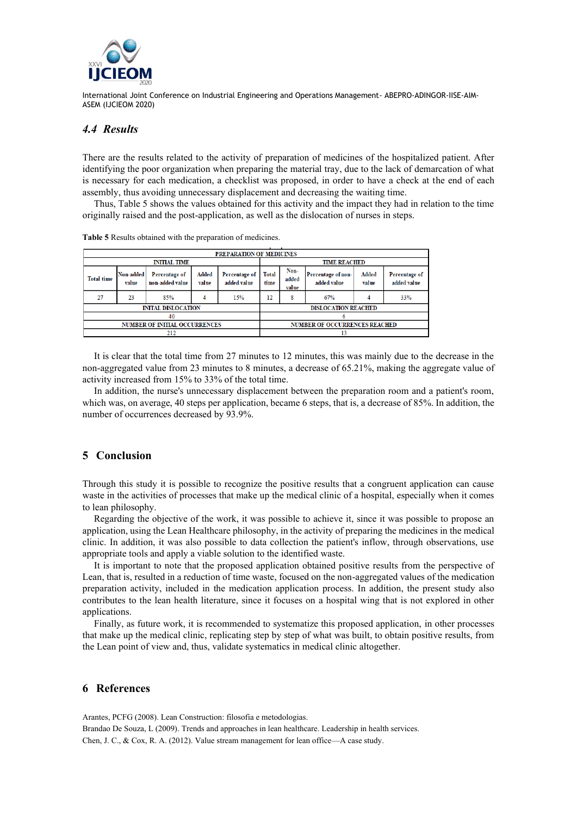

## *4.4 Results*

There are the results related to the activity of preparation of medicines of the hospitalized patient. After identifying the poor organization when preparing the material tray, due to the lack of demarcation of what is necessary for each medication, a checklist was proposed, in order to have a check at the end of each assembly, thus avoiding unnecessary displacement and decreasing the waiting time.

Thus, Table 5 shows the values obtained for this activity and the impact they had in relation to the time originally raised and the post-application, as well as the dislocation of nurses in steps.

| PREPARATION OF MEDICINES |                           |                                      |                |                                                      |                                      |                        |                                   |                |                              |  |  |  |
|--------------------------|---------------------------|--------------------------------------|----------------|------------------------------------------------------|--------------------------------------|------------------------|-----------------------------------|----------------|------------------------------|--|--|--|
|                          |                           | <b>INITIAL TIME</b>                  |                | <b>TIME REACHED</b>                                  |                                      |                        |                                   |                |                              |  |  |  |
| <b>Total time</b>        | <b>Non-added</b><br>value | Percentage of<br>non-added value     | Added<br>value | <b>Total</b><br>Percentage of<br>added value<br>time |                                      | Non-<br>added<br>value | Percentage of non-<br>added value | Added<br>value | Percentage of<br>added value |  |  |  |
| 27                       | 23                        | 85%                                  | 4              | 15%                                                  | 12                                   | 8                      | 67%                               |                | 33%                          |  |  |  |
|                          |                           | <b>INITAL DISLOCATION</b>            |                |                                                      | <b>DISLOCATION REACHED</b>           |                        |                                   |                |                              |  |  |  |
|                          |                           | 40                                   |                |                                                      |                                      |                        |                                   |                |                              |  |  |  |
|                          |                           | <b>NUMBER OF INITIAL OCCURRENCES</b> |                |                                                      | <b>NUMBER OF OCCURRENCES REACHED</b> |                        |                                   |                |                              |  |  |  |
|                          |                           | 212                                  |                |                                                      | 13                                   |                        |                                   |                |                              |  |  |  |

**Table 5** Results obtained with the preparation of medicines.

It is clear that the total time from 27 minutes to 12 minutes, this was mainly due to the decrease in the non-aggregated value from 23 minutes to 8 minutes, a decrease of 65.21%, making the aggregate value of activity increased from 15% to 33% of the total time.

In addition, the nurse's unnecessary displacement between the preparation room and a patient's room, which was, on average, 40 steps per application, became 6 steps, that is, a decrease of 85%. In addition, the number of occurrences decreased by 93.9%.

## **5 Conclusion**

Through this study it is possible to recognize the positive results that a congruent application can cause waste in the activities of processes that make up the medical clinic of a hospital, especially when it comes to lean philosophy.

Regarding the objective of the work, it was possible to achieve it, since it was possible to propose an application, using the Lean Healthcare philosophy, in the activity of preparing the medicines in the medical clinic. In addition, it was also possible to data collection the patient's inflow, through observations, use appropriate tools and apply a viable solution to the identified waste.

It is important to note that the proposed application obtained positive results from the perspective of Lean, that is, resulted in a reduction of time waste, focused on the non-aggregated values of the medication preparation activity, included in the medication application process. In addition, the present study also contributes to the lean health literature, since it focuses on a hospital wing that is not explored in other applications.

Finally, as future work, it is recommended to systematize this proposed application, in other processes that make up the medical clinic, replicating step by step of what was built, to obtain positive results, from the Lean point of view and, thus, validate systematics in medical clinic altogether.

#### **6 References**

Arantes, PCFG (2008). Lean Construction: filosofia e metodologias.

Brandao De Souza, L (2009). Trends and approaches in lean healthcare. Leadership in health services. Chen, J. C., & Cox, R. A. (2012). Value stream management for lean office—A case study.